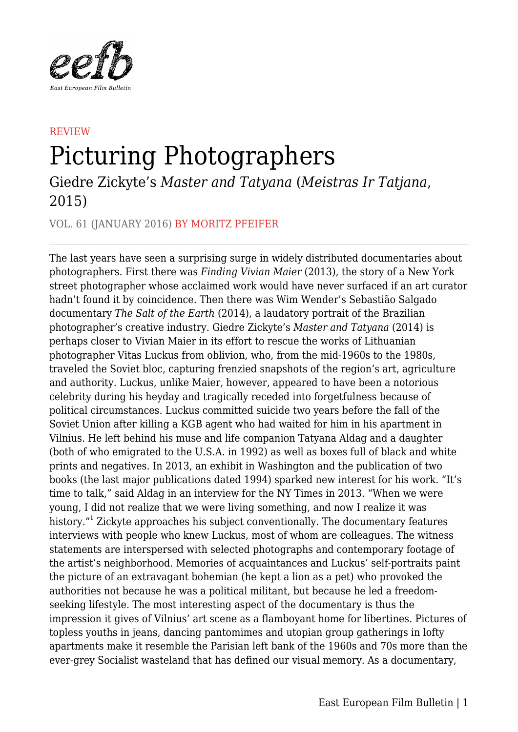

## **REVIEW** Picturing Photographers

Giedre Zickyte's *Master and Tatyana* (*Meistras Ir Tatjana*, 2015)

VOL. 61 (JANUARY 2016) BY MORITZ PFEIFER

The last years have seen a surprising surge in widely distributed documentaries about photographers. First there was *Finding Vivian Maier* (2013), the story of a New York street photographer whose acclaimed work would have never surfaced if an art curator hadn't found it by coincidence. Then there was Wim Wender's Sebastião Salgado documentary *The Salt of the Earth* (2014), a laudatory portrait of the Brazilian photographer's creative industry. Giedre Zickyte's *Master and Tatyana* (2014) is perhaps closer to Vivian Maier in its effort to rescue the works of Lithuanian photographer Vitas Luckus from oblivion, who, from the mid-1960s to the 1980s, traveled the Soviet bloc, capturing frenzied snapshots of the region's art, agriculture and authority. Luckus, unlike Maier, however, appeared to have been a notorious celebrity during his heyday and tragically receded into forgetfulness because of political circumstances. Luckus committed suicide two years before the fall of the Soviet Union after killing a KGB agent who had waited for him in his apartment in Vilnius. He left behind his muse and life companion Tatyana Aldag and a daughter (both of who emigrated to the U.S.A. in 1992) as well as boxes full of black and white prints and negatives. In 2013, an exhibit in Washington and the publication of two books (the last major publications dated 1994) sparked new interest for his work. "It's time to talk," said Aldag in an interview for the NY Times in 2013. "When we were young, I did not realize that we were living something, and now I realize it was history."<sup>1</sup> Zickyte approaches his subject conventionally. The documentary features interviews with people who knew Luckus, most of whom are colleagues. The witness statements are interspersed with selected photographs and contemporary footage of the artist's neighborhood. Memories of acquaintances and Luckus' self-portraits paint the picture of an extravagant bohemian (he kept a lion as a pet) who provoked the authorities not because he was a political militant, but because he led a freedomseeking lifestyle. The most interesting aspect of the documentary is thus the impression it gives of Vilnius' art scene as a flamboyant home for libertines. Pictures of topless youths in jeans, dancing pantomimes and utopian group gatherings in lofty apartments make it resemble the Parisian left bank of the 1960s and 70s more than the ever-grey Socialist wasteland that has defined our visual memory. As a documentary,